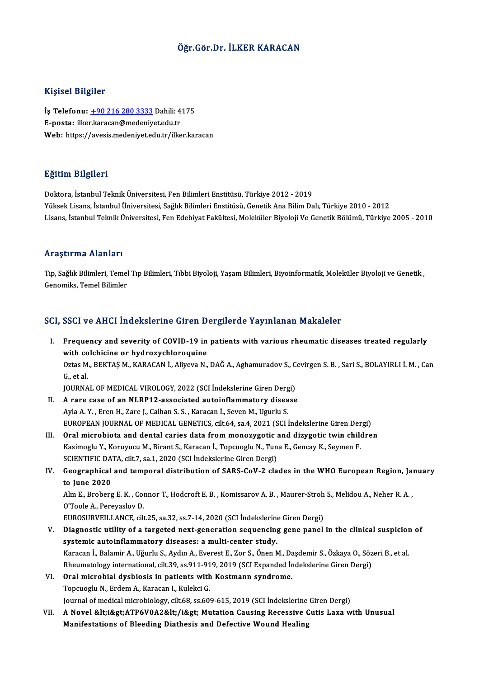## Öğr.Gör.Dr. İLKER KARACAN

#### Kişisel Bilgiler

Kişisel Bilgiler<br>İş Telefonu: <u>+90 216 280 3333</u> Dahili: 4175<br>E nosta: ilker karasan@madaniyet.edu.tr 11131201 D1151101<br>İş Telefonu: <u>+90 216 280 3333</u> Dahili: 4<br>E-posta: ilke[r.karacan@medeniy](tel:+90 216 280 3333)et.edu.tr<br>Web: https://avesis.medeniyet.edu.tr E-posta: ilker.karacan@medeniyet.edu.tr<br>Web: https://avesis.medeniyet.edu.tr/ilker.karacan

#### Eğitim Bilgileri

Doktora, İstanbulTeknikÜniversitesi,FenBilimleriEnstitüsü,Türkiye 2012 -2019 YüksekLisans, İstanbulÜniversitesi,SağlıkBilimleriEnstitüsü,GenetikAnaBilimDalı,Türkiye 2010 -2012 Lisans, İstanbul Teknik Üniversitesi, Fen Edebiyat Fakültesi, Moleküler Biyoloji Ve Genetik Bölümü, Türkiye 2005 - 2010

#### Araştırma Alanları

**Araştırma Alanları**<br>Tıp, Sağlık Bilimleri, Temel Tıp Bilimleri, Tıbbi Biyoloji, Yaşam Bilimleri, Biyoinformatik, Moleküler Biyoloji ve Genetik ,<br>Cenemika Temel Bilimler ere uyen mu enumure<br>Tıp, Sağlık Bilimleri, Temel<br>Genomiks, Temel Bilimler

# Genomiks, Temel Bilimler<br>SCI, SSCI ve AHCI İndekslerine Giren Dergilerde Yayınlanan Makaleler

I. Frequency and severity of COVID-19 in patients with various rheumatic diseases treated regularly Example of the collection of the collection of COVID-19 in<br>with colchicine or hydroxychloroquine<br>Office M. BEKTAS M. KABACAN L. Alivoya N. Frequency and severity of COVID-19 in patients with various rheumatic diseases treated regularly<br>with colchicine or hydroxychloroquine<br>Oztas M., BEKTAŞ M., KARACAN İ., Aliyeva N., DAĞ A., Aghamuradov S., Cevirgen S. B. , S with co<br>Oztas M<br>G., et al.<br>IOUPNA Oztas M., BEKTAŞ M., KARACAN İ., Aliyeva N., DAĞ A., Aghamuradov S., C.<br>G., et al.<br>JOURNAL OF MEDICAL VIROLOGY, 2022 (SCI İndekslerine Giren Dergi)<br>A. rare. 2000 of an NL PB12, associated autoinflammatoru disease

- G., et al.<br>JOURNAL OF MEDICAL VIROLOGY, 2022 (SCI Indekslerine Giren Dergi)<br>II. A rare case of an NLRP12-associated autoinflammatory disease JOURNAL OF MEDICAL VIROLOGY, 2022 (SCI İndekslerine Giren Derg<br>A rare case of an NLRP12-associated autoinflammatory disea<br>Ayla A.Y., Eren H., Zare J., Calhan S. S., Karacan İ., Seven M., Ugurlu S.<br>EUROPEAN JOURNAL OF MEDIC A rare case of an NLRP12-associated autoinflammatory disease<br>Ayla A. Y. , Eren H., Zare J., Calhan S. S. , Karacan İ., Seven M., Ugurlu S.<br>EUROPEAN JOURNAL OF MEDICAL GENETICS, cilt.64, sa.4, 2021 (SCI İndekslerine Giren D Ayla A. Y., Eren H., Zare J., Calhan S. S., Karacan İ., Seven M., Ugurlu S.<br>EUROPEAN JOURNAL OF MEDICAL GENETICS, cilt.64, sa.4, 2021 (SCI İndekslerine Giren Dergi)<br>III. Oral microbiota and dental caries data from monozygo
- EUROPEAN JOURNAL OF MEDICAL GENETICS, cilt.64, sa.4, 2021 (SCI İndekslerine Giren Der<br>Oral microbiota and dental caries data from monozygotic and dizygotic twin child<br>Kasimoglu Y., Koruyucu M., Birant S., Karacan İ., Topcu Oral microbiota and dental caries data from monozygotic a<br>Kasimoglu Y., Koruyucu M., Birant S., Karacan İ., Topcuoglu N., Tun<br>SCIENTIFIC DATA, cilt.7, sa.1, 2020 (SCI İndekslerine Giren Dergi)<br>Coographical and tamparal dis Kasimoglu Y., Koruyucu M., Birant S., Karacan İ., Topcuoglu N., Tuna E., Gencay K., Seymen F.<br>SCIENTIFIC DATA, cilt.7, sa.1, 2020 (SCI İndekslerine Giren Dergi)<br>IV. Geographical and temporal distribution of SARS-CoV-2 clad
- SCIENTIFIC DA<br>Geographical<br>to June 2020 Geographical and temporal distribution of SARS-CoV-2 clades in the WHO European Region, Ja:<br>to June 2020<br>Alm E., Broberg E. K. , Connor T., Hodcroft E. B. , Komissarov A. B. , Maurer-Stroh S., Melidou A., Neher R. A.<br>O'Tee

to June 2020<br>Alm E., Broberg E. K. , Connor T., Hodcroft E. B. , Komissarov A. B. , Maurer-Stroh S., Melidou A., Neher R. A.<br>O'Toole A., Pereyaslov D.

EUROSURVEILLANCE, cilt.25, sa.32, ss.7-14, 2020 (SCI İndekslerine Giren Dergi)

- O'Toole A., Pereyaslov D.<br>EUROSURVEILLANCE, cilt.25, sa.32, ss.7-14, 2020 (SCI İndekslerine Giren Dergi)<br>V. Diagnostic utility of a targeted next-generation sequencing gene panel in the clinical suspicion of<br>systemic a EUROSURVEILLANCE, cilt.25, sa.32, ss.7-14, 2020 (SCI Indekslering<br>Diagnostic utility of a targeted next-generation sequencing<br>systemic autoinflammatory diseases: a multi-center study.<br>Karasan L Balamir A, Uğurlu S, Aydın A Diagnostic utility of a targeted next-generation sequencing gene panel in the clinical suspicior<br>systemic autoinflammatory diseases: a multi-center study.<br>Karacan İ., Balamir A., Uğurlu S., Aydın A., Everest E., Zor S., Ön systemic autoinflammatory diseases: a multi-center study.<br>Karacan İ., Balamir A., Uğurlu S., Aydın A., Everest E., Zor S., Önen M., Daşdemir S., Özkaya O., Sözeri B., et al.<br>Rheumatology international, cilt.39, ss.911-919, Karacan İ., Balamir A., Uğurlu S., Aydın A., Everest E., Zor S., Önen M., Da<br>Rheumatology international, cilt.39, ss.911-919, 2019 (SCI Expanded İr<br>VI. Oral microbial dysbiosis in patients with Kostmann syndrome.<br>Tenguaglu Rheumatology international, cilt.39, ss.911-91<br>Oral microbial dysbiosis in patients with<br>Topcuoglu N., Erdem A., Karacan I., Kulekci G.<br>Journal of medical microbialogy, cilt.69, cs.60 Oral microbial dysbiosis in patients with Kostmann syndrome.<br>Topcuoglu N., Erdem A., Karacan I., Kulekci G.<br>Journal of medical microbiology, cilt.68, ss.609-615, 2019 (SCI İndekslerine Giren Dergi)<br>A Novel &ltıi&st ATB6V0A
	-
- Topcuoglu N., Erdem A., Karacan I., Kulekci G.<br>Journal of medical microbiology, cilt.68, ss.609-615, 2019 (SCI İndekslerine Giren Dergi)<br>VII. A Novel &lt;i&gt;ATP6V0A2&lt;/i&gt; Mutation Causing Recessive Cutis Laxa wi Journal of medical microbiology, cilt.68, ss.609-615, 2019 (SCI İndekslerine<br>A Novel &lt;i&gt;ATP6V0A2&lt;/i&gt; Mutation Causing Recessive (<br>Manifestations of Bleeding Diathesis and Defective Wound Healing